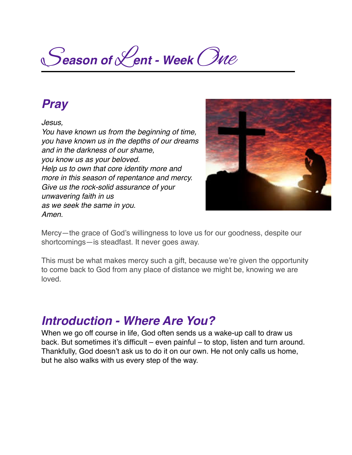S*eason of* L*ent - Week* One

### *Pray*

*Jesus,*

*You have known us from the beginning of time, you have known us in the depths of our dreams and in the darkness of our shame, you know us as your beloved. Help us to own that core identity more and more in this season of repentance and mercy. Give us the rock-solid assurance of your unwavering faith in us as we seek the same in you. Amen.*



Mercy—the grace of God's willingness to love us for our goodness, despite our shortcomings—is steadfast. It never goes away.

This must be what makes mercy such a gift, because we're given the opportunity to come back to God from any place of distance we might be, knowing we are loved.

### *Introduction - Where Are You?*

When we go off course in life, God often sends us a wake-up call to draw us back. But sometimes it's difficult – even painful – to stop, listen and turn around. Thankfully, God doesn't ask us to do it on our own. He not only calls us home, but he also walks with us every step of the way.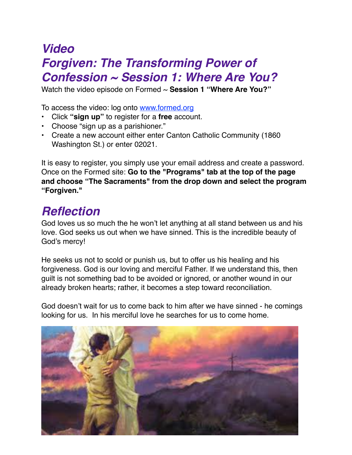# *Video Forgiven: The Transforming Power of Confession ~ Session 1: Where Are You?*

Watch the video episode on Formed ~ **Session 1 "Where Are You?"**

To access the video: log onto [www.formed.org](http://www.formed.org/)

- Click **"sign up"** to register for a **free** account.
- Choose "sign up as a parishioner."
- Create a new account either enter Canton Catholic Community (1860 Washington St.) or enter 02021.

It is easy to register, you simply use your email address and create a password. Once on the Formed site: **Go to the "Programs" tab at the top of the page and choose "The Sacraments" from the drop down and select the program "Forgiven."**

## *Reflection*

God loves us so much the he won't let anything at all stand between us and his love. God seeks us out when we have sinned. This is the incredible beauty of God's mercy!

He seeks us not to scold or punish us, but to offer us his healing and his forgiveness. God is our loving and merciful Father. If we understand this, then guilt is not something bad to be avoided or ignored, or another wound in our already broken hearts; rather, it becomes a step toward reconciliation.

God doesn't wait for us to come back to him after we have sinned - he comings looking for us. In his merciful love he searches for us to come home.